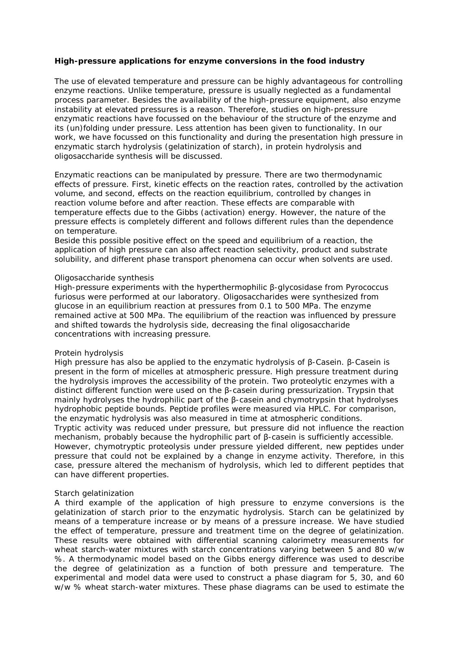## **High-pressure applications for enzyme conversions in the food industry**

The use of elevated temperature and pressure can be highly advantageous for controlling enzyme reactions. Unlike temperature, pressure is usually neglected as a fundamental process parameter. Besides the availability of the high-pressure equipment, also enzyme instability at elevated pressures is a reason. Therefore, studies on high-pressure enzymatic reactions have focussed on the behaviour of the structure of the enzyme and its (un)folding under pressure. Less attention has been given to functionality. In our work, we have focussed on this functionality and during the presentation high pressure in enzymatic starch hydrolysis (gelatinization of starch), in protein hydrolysis and oligosaccharide synthesis will be discussed.

Enzymatic reactions can be manipulated by pressure. There are two thermodynamic effects of pressure. First, kinetic effects on the reaction rates, controlled by the activation volume, and second, effects on the reaction equilibrium, controlled by changes in reaction volume before and after reaction. These effects are comparable with temperature effects due to the Gibbs (activation) energy. However, the nature of the pressure effects is completely different and follows different rules than the dependence on temperature.

Beside this possible positive effect on the speed and equilibrium of a reaction, the application of high pressure can also affect reaction selectivity, product and substrate solubility, and different phase transport phenomena can occur when solvents are used.

## *Oligosaccharide synthesis*

High-pressure experiments with the hyperthermophilic β-glycosidase from *Pyrococcus furiosus* were performed at our laboratory. Oligosaccharides were synthesized from glucose in an equilibrium reaction at pressures from 0.1 to 500 MPa. The enzyme remained active at 500 MPa. The equilibrium of the reaction was influenced by pressure and shifted towards the hydrolysis side, decreasing the final oligosaccharide concentrations with increasing pressure.

## *Protein hydrolysis*

High pressure has also be applied to the enzymatic hydrolysis of β-Casein. β-Casein is present in the form of micelles at atmospheric pressure. High pressure treatment during the hydrolysis improves the accessibility of the protein. Two proteolytic enzymes with a distinct different function were used on the β-casein during pressurization. Trypsin that mainly hydrolyses the hydrophilic part of the β-casein and chymotrypsin that hydrolyses hydrophobic peptide bounds. Peptide profiles were measured via HPLC. For comparison, the enzymatic hydrolysis was also measured in time at atmospheric conditions. Tryptic activity was reduced under pressure, but pressure did not influence the reaction mechanism, probably because the hydrophilic part of β-casein is sufficiently accessible.

However, chymotryptic proteolysis under pressure yielded different, new peptides under pressure that could not be explained by a change in enzyme activity. Therefore, in this case, pressure altered the mechanism of hydrolysis, which led to different peptides that can have different properties.

## *Starch gelatinization*

A third example of the application of high pressure to enzyme conversions is the gelatinization of starch prior to the enzymatic hydrolysis. Starch can be gelatinized by means of a temperature increase or by means of a pressure increase. We have studied the effect of temperature, pressure and treatment time on the degree of gelatinization. These results were obtained with differential scanning calorimetry measurements for wheat starch-water mixtures with starch concentrations varying between 5 and 80 w/w %. A thermodynamic model based on the Gibbs energy difference was used to describe the degree of gelatinization as a function of both pressure and temperature. The experimental and model data were used to construct a phase diagram for 5, 30, and 60 w/w % wheat starch-water mixtures. These phase diagrams can be used to estimate the